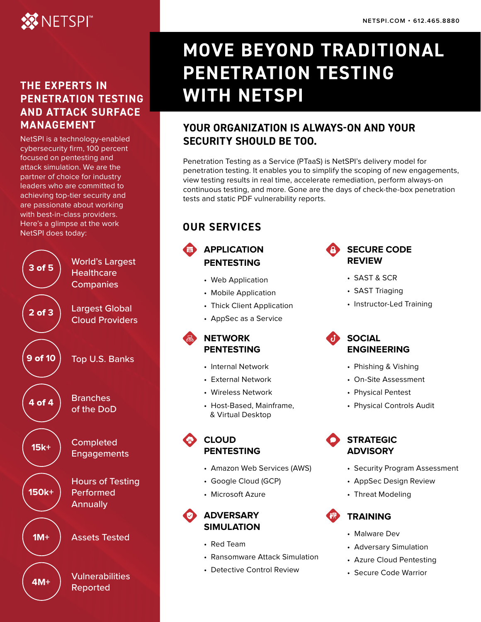# **XX NETSPI**

## **THE EXPERTS IN PENETRATION TESTING AND ATTACK SURFACE MANAGEMENT**

NetSPI is a technology-enabled cybersecurity firm, 100 percent focused on pentesting and attack simulation. We are the partner of choice for industry leaders who are committed to achieving top-tier security and are passionate about working with best-in-class providers. Here's a glimpse at the work NetSPI does today:



# **MOVE BEYOND TRADITIONAL PENETRATION TESTING WITH NETSPI**

## **YOUR ORGANIZATION IS ALWAYS-ON AND YOUR SECURITY SHOULD BE TOO.**

Penetration Testing as a Service (PTaaS) is NetSPI's delivery model for penetration testing. It enables you to simplify the scoping of new engagements, view testing results in real time, accelerate remediation, perform always-on continuous testing, and more. Gone are the days of check-the-box penetration tests and static PDF vulnerability reports.

# **OUR SERVICES**

### **APPLICATION PENTESTING**

- Web Application
- Mobile Application
- Thick Client Application
- AppSec as a Service

#### **NETWORK PENTESTING**

- Internal Network
- External Network
- Wireless Network
- Host-Based, Mainframe, & Virtual Desktop

#### **CLOUD PENTESTING**

- Amazon Web Services (AWS)
- Google Cloud (GCP)
- Microsoft Azure



#### **ADVERSARY SIMULATION**

- Red Team
- Ransomware Attack Simulation
- Detective Control Review

#### **SECURE CODE REVIEW**

- SAST & SCR
- SAST Triaging
- Instructor-Led Training

#### **SOCIAL ENGINEERING**

- Phishing & Vishing
- On-Site Assessment
- Physical Pentest
- Physical Controls Audit



- Security Program Assessment
- AppSec Design Review
- Threat Modeling

# **TRAINING**

- Malware Dev
- Adversary Simulation
- Azure Cloud Pentesting
- Secure Code Warrior